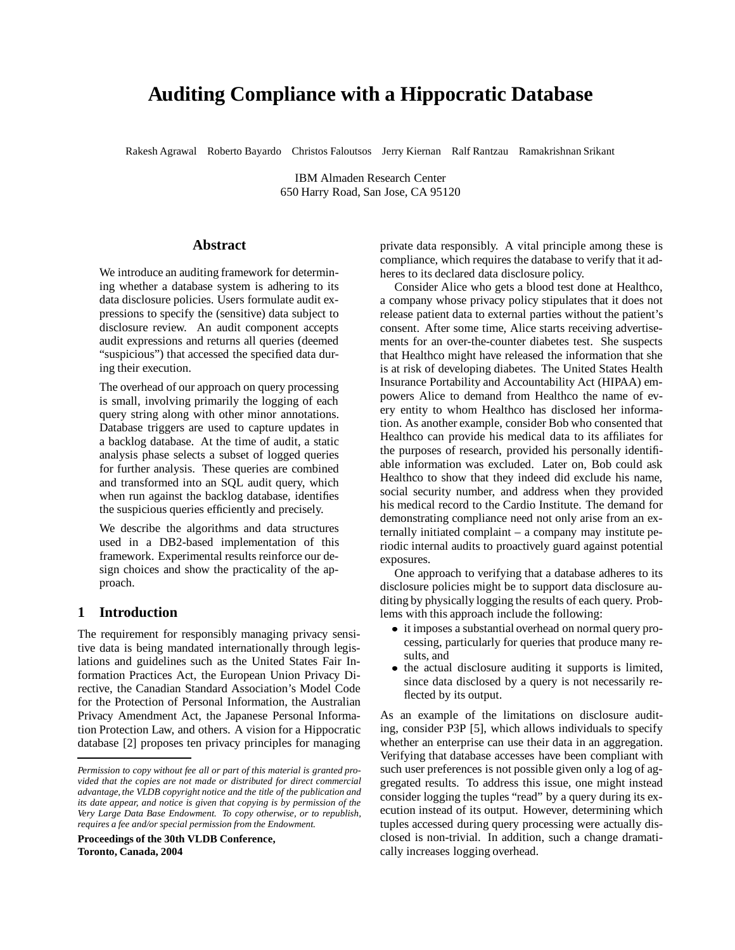# **Auditing Compliance with a Hippocratic Database**

Rakesh Agrawal Roberto Bayardo Christos Faloutsos Jerry Kiernan Ralf Rantzau Ramakrishnan Srikant

IBM Almaden Research Center 650 Harry Road, San Jose, CA 95120

# **Abstract**

We introduce an auditing framework for determining whether a database system is adhering to its data disclosure policies. Users formulate audit expressions to specify the (sensitive) data subject to disclosure review. An audit component accepts audit expressions and returns all queries (deemed "suspicious") that accessed the specified data during their execution.

The overhead of our approach on query processing is small, involving primarily the logging of each query string along with other minor annotations. Database triggers are used to capture updates in a backlog database. At the time of audit, a static analysis phase selects a subset of logged queries for further analysis. These queries are combined and transformed into an SQL audit query, which when run against the backlog database, identifies the suspicious queries efficiently and precisely.

We describe the algorithms and data structures used in a DB2-based implementation of this framework. Experimental results reinforce our design choices and show the practicality of the approach.

# **1 Introduction**

The requirement for responsibly managing privacy sensitive data is being mandated internationally through legislations and guidelines such as the United States Fair Information Practices Act, the European Union Privacy Directive, the Canadian Standard Association's Model Code for the Protection of Personal Information, the Australian Privacy Amendment Act, the Japanese Personal Information Protection Law, and others. A vision for a Hippocratic database [2] proposes ten privacy principles for managing

**Proceedings of the 30th VLDB Conference, Toronto, Canada, 2004**

private data responsibly. A vital principle among these is compliance, which requires the database to verify that it adheres to its declared data disclosure policy.

Consider Alice who gets a blood test done at Healthco, a company whose privacy policy stipulates that it does not release patient data to external parties without the patient's consent. After some time, Alice starts receiving advertisements for an over-the-counter diabetes test. She suspects that Healthco might have released the information that she is at risk of developing diabetes. The United States Health Insurance Portability and Accountability Act (HIPAA) empowers Alice to demand from Healthco the name of every entity to whom Healthco has disclosed her information. As another example, consider Bob who consented that Healthco can provide his medical data to its affiliates for the purposes of research, provided his personally identifiable information was excluded. Later on, Bob could ask Healthco to show that they indeed did exclude his name, social security number, and address when they provided his medical record to the Cardio Institute. The demand for demonstrating compliance need not only arise from an externally initiated complaint – a company may institute periodic internal audits to proactively guard against potential exposures.

One approach to verifying that a database adheres to its disclosure policies might be to support data disclosure auditing by physically logging the results of each query. Problems with this approach include the following:

- it imposes a substantial overhead on normal query processing, particularly for queries that produce many results, and
- the actual disclosure auditing it supports is limited, since data disclosed by a query is not necessarily reflected by its output.

As an example of the limitations on disclosure auditing, consider P3P [5], which allows individuals to specify whether an enterprise can use their data in an aggregation. Verifying that database accesses have been compliant with such user preferences is not possible given only a log of aggregated results. To address this issue, one might instead consider logging the tuples "read" by a query during its execution instead of its output. However, determining which tuples accessed during query processing were actually disclosed is non-trivial. In addition, such a change dramatically increases logging overhead.

*Permission to copy without fee all or part of this material is granted provided that the copies are not made or distributed for direct commercial advantage, the VLDB copyright notice and the title of the publication and its date appear, and notice is given that copying is by permission of the Very Large Data Base Endowment. To copy otherwise, or to republish, requires a fee and/or special permission from the Endowment.*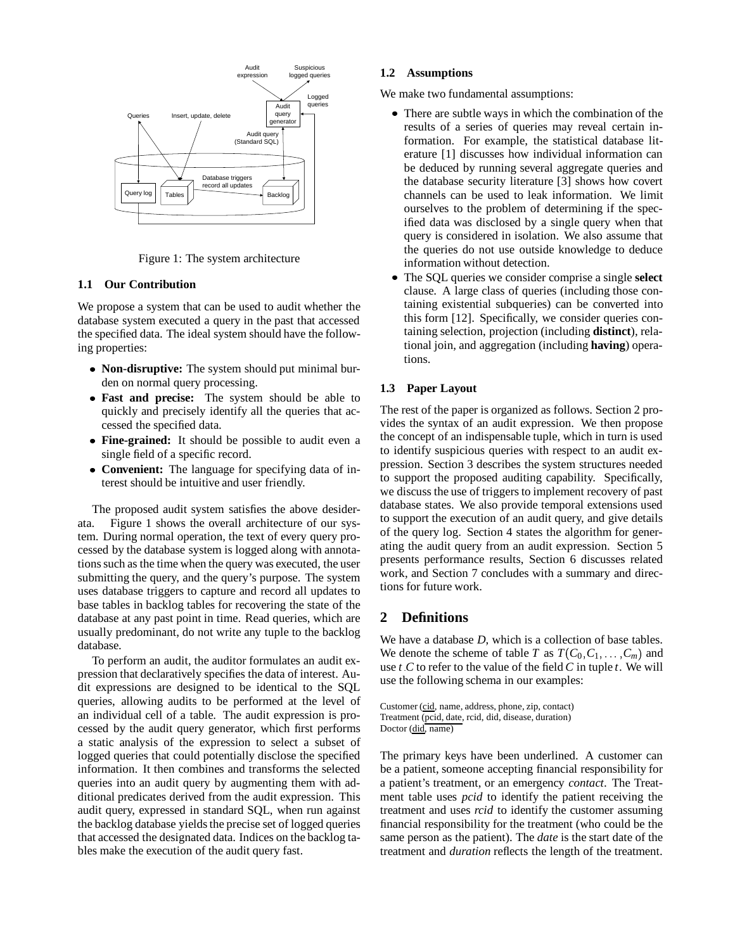

Figure 1: The system architecture

# **1.1 Our Contribution**

We propose a system that can be used to audit whether the database system executed a query in the past that accessed the specified data. The ideal system should have the following properties:

- **Non-disruptive:** The system should put minimal burden on normal query processing.
- **Fast and precise:** The system should be able to quickly and precisely identify all the queries that accessed the specified data.
- **Fine-grained:** It should be possible to audit even a single field of a specific record.
- **Convenient:** The language for specifying data of interest should be intuitive and user friendly.

The proposed audit system satisfies the above desiderata. Figure 1 shows the overall architecture of our system. During normal operation, the text of every query processed by the database system is logged along with annotations such as the time when the query was executed, the user submitting the query, and the query's purpose. The system uses database triggers to capture and record all updates to base tables in backlog tables for recovering the state of the database at any past point in time. Read queries, which are usually predominant, do not write any tuple to the backlog database.

To perform an audit, the auditor formulates an audit expression that declaratively specifies the data of interest. Audit expressions are designed to be identical to the SQL queries, allowing audits to be performed at the level of an individual cell of a table. The audit expression is processed by the audit query generator, which first performs a static analysis of the expression to select a subset of logged queries that could potentially disclose the specified information. It then combines and transforms the selected queries into an audit query by augmenting them with additional predicates derived from the audit expression. This audit query, expressed in standard SQL, when run against the backlog database yields the precise set of logged queries that accessed the designated data. Indices on the backlog tables make the execution of the audit query fast.

# **1.2 Assumptions**

We make two fundamental assumptions:

- There are subtle ways in which the combination of the results of a series of queries may reveal certain information. For example, the statistical database literature [1] discusses how individual information can be deduced by running several aggregate queries and the database security literature [3] shows how covert channels can be used to leak information. We limit ourselves to the problem of determining if the specified data was disclosed by a single query when that query is considered in isolation. We also assume that the queries do not use outside knowledge to deduce information without detection.
- The SQL queries we consider comprise a single **select** clause. A large class of queries (including those containing existential subqueries) can be converted into this form [12]. Specifically, we consider queries containing selection, projection (including **distinct**), relational join, and aggregation (including **having**) operations.

# **1.3 Paper Layout**

The rest of the paper is organized as follows. Section 2 provides the syntax of an audit expression. We then propose the concept of an indispensable tuple, which in turn is used to identify suspicious queries with respect to an audit expression. Section 3 describes the system structures needed to support the proposed auditing capability. Specifically, we discuss the use of triggers to implement recovery of past database states. We also provide temporal extensions used to support the execution of an audit query, and give details of the query log. Section 4 states the algorithm for generating the audit query from an audit expression. Section 5 presents performance results, Section 6 discusses related work, and Section 7 concludes with a summary and directions for future work.

# **2 Definitions**

We have a database *D*, which is a collection of base tables. We denote the scheme of table *T* as  $T(C_0, C_1, \ldots, C_m)$  and use  $t \, C$  to refer to the value of the field  $C$  in tuple  $t$ . We will use the following schema in our examples:

Customer (cid, name, address, phone, zip, contact) Treatment (pcid, date, rcid, did, disease, duration) Doctor (did, name)

The primary keys have been underlined. A customer can be a patient, someone accepting financial responsibility for a patient's treatment, or an emergency *contact*. The Treatment table uses *pcid* to identify the patient receiving the treatment and uses *rcid* to identify the customer assuming financial responsibility for the treatment (who could be the same person as the patient). The *date* is the start date of the treatment and *duration* reflects the length of the treatment.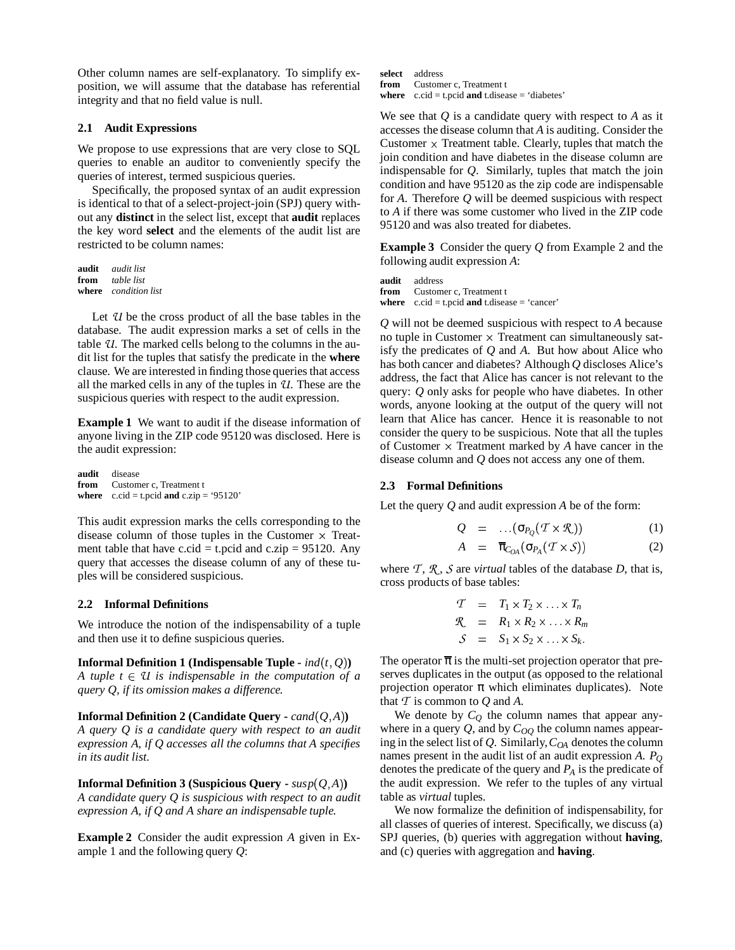Other column names are self-explanatory. To simplify exposition, we will assume that the database has referential integrity and that no field value is null.

# **2.1 Audit Expressions**

We propose to use expressions that are very close to SQL queries to enable an auditor to conveniently specify the queries of interest, termed suspicious queries.

Specifically, the proposed syntax of an audit expression is identical to that of a select-project-join (SPJ) query without any **distinct** in the select list, except that **audit** replaces the key word **select** and the elements of the audit list are restricted to be column names:

**audit** *audit list* **from** *table list* **where** *condition list*

Let *U* be the cross product of all the base tables in the database. The audit expression marks a set of cells in the table *U*. The marked cells belong to the columns in the audit list for the tuples that satisfy the predicate in the **where** clause. We are interested in finding those queries that access all the marked cells in any of the tuples in *U*. These are the suspicious queries with respect to the audit expression.

**Example 1** We want to audit if the disease information of anyone living in the ZIP code 95120 was disclosed. Here is the audit expression:

**audit** disease **from** Customer c, Treatment t **where**  $c$ .cid = t.pcid **and**  $c$ .zip = '95120'

This audit expression marks the cells corresponding to the disease column of those tuples in the Customer  $\times$  Treatment table that have c.cid = t.pcid and c.zip =  $95120$ . Any query that accesses the disease column of any of these tuples will be considered suspicious.

#### **2.2 Informal Definitions**

We introduce the notion of the indispensability of a tuple and then use it to define suspicious queries.

**Informal Definition 1 (Indispensable Tuple**  $\text{-}ind(t, Q)$ **)** *A tuple*  $t \in U$  *is indispensable in the computation of a query Q, if its omission makes a difference.*

**Informal Definition 2 (Candidate Query -**  $cand(Q,A)$ ) *A query Q is a candidate query with respect to an audit expression A, if Q accesses all the columns that A specifies in its audit list.*

**Informal Definition 3 (Suspicious Query -**  $susp(Q,A)$ ) *A candidate query Q is suspicious with respect to an audit expression A, if Q and A share an indispensable tuple.*

**Example 2** Consider the audit expression *A* given in Example 1 and the following query *Q*:

**select** address **from** Customer c, Treatment t **where**  $c$ .cid = t.pcid **and** t.disease = 'diabetes'

We see that *Q* is a candidate query with respect to *A* as it accesses the disease column that *A* is auditing. Consider the Customer  $\times$  Treatment table. Clearly, tuples that match the join condition and have diabetes in the disease column are indispensable for *Q*. Similarly, tuples that match the join condition and have 95120 as the zip code are indispensable for *A*. Therefore *Q* will be deemed suspicious with respect to *A* if there was some customer who lived in the ZIP code 95120 and was also treated for diabetes.

**Example 3** Consider the query *Q* from Example 2 and the following audit expression *A*:

**audit** address from Customer c, Treatment t **where** c.cid = t.pcid **and** t.disease = 'cancer'

*Q* will not be deemed suspicious with respect to *A* because no tuple in Customer  $\times$  Treatment can simultaneously satisfy the predicates of *Q* and *A*. But how about Alice who has both cancer and diabetes? Although *Q* discloses Alice's address, the fact that Alice has cancer is not relevant to the query: *Q* only asks for people who have diabetes. In other words, anyone looking at the output of the query will not learn that Alice has cancer. Hence it is reasonable to not consider the query to be suspicious. Note that all the tuples of Customer  $\times$  Treatment marked by *A* have cancer in the disease column and *Q* does not access any one of them.

#### **2.3 Formal Definitions**

Let the query *Q* and audit expression *A* be of the form:

$$
Q = \dots (\sigma_{P_Q}(T \times \mathcal{R})) \tag{1}
$$

$$
A = \overline{\pi}_{C_{OA}}(\sigma_{P_A}(T \times S)) \tag{2}
$$

where  $\mathcal{T}, \mathcal{R}, \mathcal{S}$  are *virtual* tables of the database *D*, that is, cross products of base tables:

$$
T = T_1 \times T_2 \times \ldots \times T_n
$$
  
\n
$$
R = R_1 \times R_2 \times \ldots \times R_m
$$
  
\n
$$
S = S_1 \times S_2 \times \ldots \times S_k.
$$

The operator  $\bar{\pi}$  is the multi-set projection operator that preserves duplicates in the output (as opposed to the relational projection operator  $\pi$  which eliminates duplicates). Note that  $T$  is common to  $Q$  and  $A$ .

We denote by  $C_Q$  the column names that appear anywhere in a query  $Q$ , and by  $C_{OO}$  the column names appearing in the select list of *Q*. Similarly,*COA* denotes the column names present in the audit list of an audit expression *A*. *P<sup>Q</sup>* denotes the predicate of the query and *P<sup>A</sup>* is the predicate of the audit expression. We refer to the tuples of any virtual table as *virtual* tuples.

We now formalize the definition of indispensability, for all classes of queries of interest. Specifically, we discuss (a) SPJ queries, (b) queries with aggregation without **having**, and (c) queries with aggregation and **having**.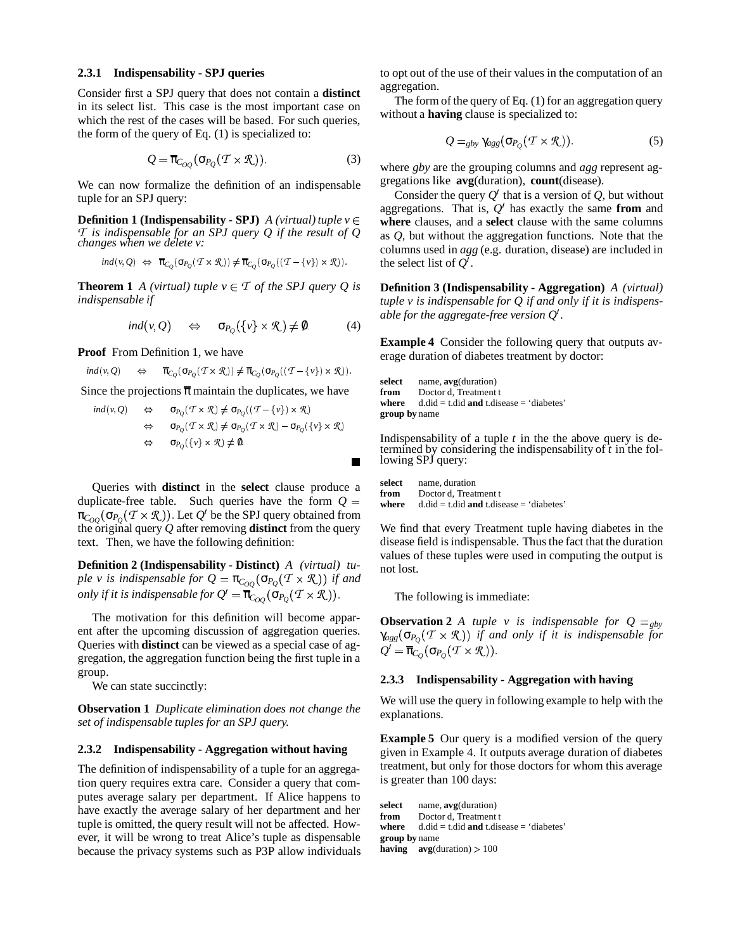#### **2.3.1 Indispensability - SPJ queries**

Consider first a SPJ query that does not contain a **distinct** in its select list. This case is the most important case on which the rest of the cases will be based. For such queries, the form of the query of Eq. (1) is specialized to:

$$
Q = \overline{\pi}_{C_{OQ}}(\sigma_{P_Q}(\mathcal{T} \times \mathcal{R})).
$$
\n(3)

We can now formalize the definition of an indispensable tuple for an SPJ query:

**Definition 1** (Indispensability **- SPJ**) *A (virtual)*  $tuple \nu \in$ *T is indispensable for an SPJ query Q if the result of Q changes when we delete v:*

$$
ind(v, Q) \Leftrightarrow \overline{\pi}_{C_Q}(\sigma_{P_Q}(T \times \mathcal{R})) \neq \overline{\pi}_{C_Q}(\sigma_{P_Q}((T - \{v\}) \times \mathcal{R})).
$$

**Theorem 1** *A (virtual) tuple*  $v \in \mathcal{T}$  *of the SPJ query Q is indispensable if*

$$
ind(v, Q) \quad \Leftrightarrow \quad \sigma_{P_Q}(\{v\} \times \mathcal{R}) \neq 0. \tag{4}
$$

**Proof** From Definition 1, we have

$$
ind(v, Q) \qquad \Leftrightarrow \qquad \overline{\pi}_{C_Q}(\sigma_{P_Q}(\mathcal{T} \times \mathcal{R})) \neq \overline{\pi}_{C_Q}(\sigma_{P_Q}((\mathcal{T} - \{v\}) \times \mathcal{R})).
$$

Since the projections  $\bar{\pi}$  maintain the duplicates, we have

$$
ind(v, Q) \Leftrightarrow \sigma_{P_Q}(\mathcal{T} \times \mathcal{R}) \neq \sigma_{P_Q}((\mathcal{T} - \{v\}) \times \mathcal{R})
$$
  
\n
$$
\Leftrightarrow \sigma_{P_Q}(\mathcal{T} \times \mathcal{R}) \neq \sigma_{P_Q}(\mathcal{T} \times \mathcal{R}) - \sigma_{P_Q}(\{v\} \times \mathcal{R})
$$
  
\n
$$
\Leftrightarrow \sigma_{P_Q}(\{v\} \times \mathcal{R}) \neq 0.
$$

Queries with **distinct** in the **select** clause produce a duplicate-free table. Such queries have the form  $Q =$  $\pi_{C_{OQ}}(\sigma_{P_Q}(\mathcal{T}\times \mathcal{R}))$  . Let  $Q'$  be the SPJ query obtained from the original query  $Q$  after removing **distinct** from the query text. Then, we have the following definition:

**Definition 2 (Indispensability - Distinct)** *A (virtual) tuple v is indispensable for*  $Q = \pi_{C_{OQ}}(\sigma_{P_Q}(T \times \mathcal{R}))$  *if* and *only if it is indispensable for*  $Q' = \overline{\pi}_{C_{OQ}}(\sigma_{P_Q}(\mathcal{T} \times \mathcal{R}))$ .

The motivation for this definition will become apparent after the upcoming discussion of aggregation queries. Queries with **distinct** can be viewed as a special case of aggregation, the aggregation function being the first tuple in a group.

We can state succinctly:

**Observation 1** *Duplicate elimination does not change the set of indispensable tuples for an SPJ query.*

## **2.3.2 Indispensability - Aggregation without having**

The definition of indispensability of a tuple for an aggregation query requires extra care. Consider a query that computes average salary per department. If Alice happens to have exactly the average salary of her department and her tuple is omitted, the query result will not be affected. However, it will be wrong to treat Alice's tuple as dispensable because the privacy systems such as P3P allow individuals to opt out of the use of their values in the computation of an aggregation.

The form of the query of Eq. (1) for an aggregation query without a **having** clause is specialized to:

$$
Q =_{gby} \gamma_{agg} (\sigma_{P_Q}(T \times \mathcal{R})). \tag{5}
$$

where *gby* are the grouping columns and *agg* represent aggregations like **avg**(duration), **count**(disease).

Consider the query  $Q'$  that is a version of  $Q$ , but without aggregations. That is,  $Q'$  has exactly the same **from** and **where** clauses, and a **select** clause with the same columns as *Q*, but without the aggregation functions. Note that the columns used in *agg* (e.g. duration, disease) are included in the select list of  $Q'$ .

**Definition 3 (Indispensability - Aggregation)** *A (virtual) tuple v is indispensable for Q if and only if it is indispensable* for the aggregate-free version  $Q'$ .

**Example 4** Consider the following query that outputs average duration of diabetes treatment by doctor:

**select** name, **avg**(duration) from Doctor d, Treatment t **where**  $d$ .did = t.did **and** t.disease = 'diabetes' **group by** name

 $\overline{0}$  Indispensability of a tuple *t* in the the above query is determined by considering the indispensability of *t* in the following SPJ query:

> **where**  $d.did = t.did$  **and**  $t.disease = 'diabetes'$ **select** name, duration **from** Doctor d, Treatment t

We find that every Treatment tuple having diabetes in the disease field is indispensable. Thus the fact that the duration values of these tuples were used in computing the output is not lost.

The following is immediate:

**Observation 2** *A tuple v is indispensable for*  $Q = g_{by}$  $\gamma_{agg}(\sigma_{P_Q}(T \times \mathcal{R}))$  *if and only if it is indispensable for*  $\mathcal{Q}' = \overline{\pi}_{\mathcal{C}_{\mathcal{Q}}}(\sigma_{P_{\mathcal{Q}}}(\mathcal{T} \times \mathcal{R}))$  .

#### **2.3.3 Indispensability - Aggregation with having**

We will use the query in following example to help with the explanations.

**Example 5** Our query is a modified version of the query given in Example 4. It outputs average duration of diabetes treatment, but only for those doctors for whom this average is greater than 100 days:

**select** name, **avg**(duration) from Doctor d, Treatment t **where**  $d.did = t.did$  **and**  $t.disease = 'diabetes'$ **group by** name **having**  $avg(duration) > 100$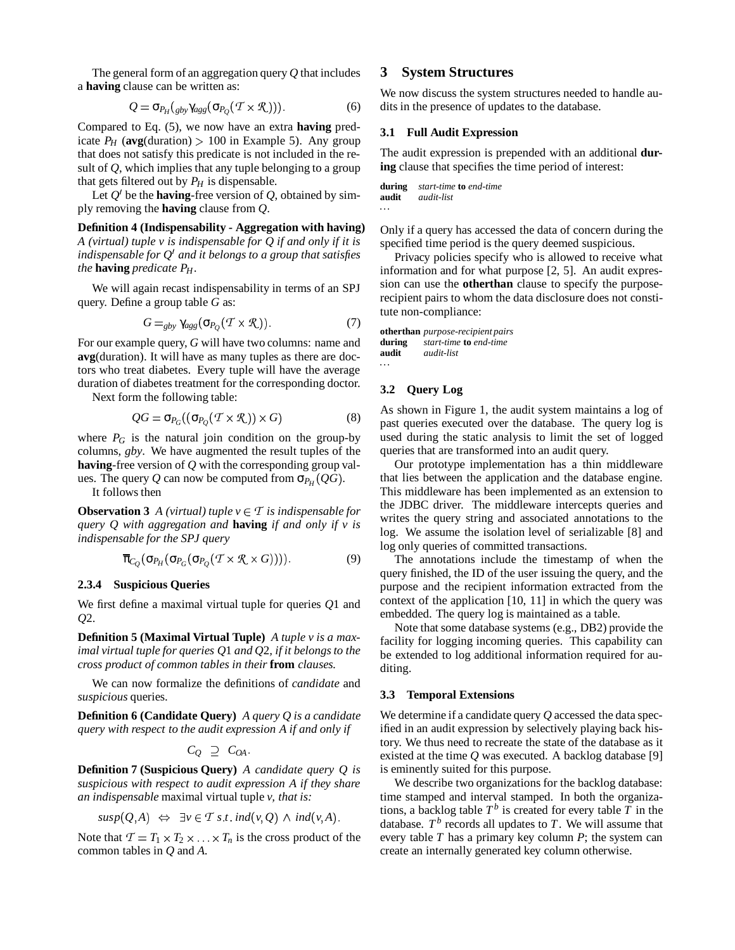The general form of an aggregation query *Q* that includes a **having** clause can be written as:

$$
Q = \sigma_{P_H}(g_{by}\gamma_{agg}(\sigma_{P_Q}(T \times \mathcal{R})))
$$
 (6)

Compared to Eq. (5), we now have an extra **having** predicate  $P_H$  (avg(duration) > 100 in Example 5). Any group that does not satisfy this predicate is not included in the result of *Q*, which implies that any tuple belonging to a group that gets filtered out by  $P_H$  is dispensable.

Let  $Q'$  be the **having**-free version of  $Q$ , obtained by simply removing the **having** clause from *Q*.

**Definition 4 (Indispensability - Aggregation with having)** *A (virtual) tuple v is indispensable for Q if and only if it is indispensable for Q* ! *and it belongs to a group that satisfies the* **having** *predicate*  $P_H$ *.* 

We will again recast indispensability in terms of an SPJ query. Define a group table *G* as:

$$
G =_{gby} \gamma_{agg} (\sigma_{P_Q} (T \times \mathcal{R}))
$$
 (7)

For our example query, *G* will have two columns: name and **avg**(duration). It will have as many tuples as there are doctors who treat diabetes. Every tuple will have the average duration of diabetes treatment for the corresponding doctor.

Next form the following table:

$$
QG = \sigma_{P_G}((\sigma_{P_Q}(T \times \mathcal{R})) \times G) \tag{8}
$$

where  $P_G$  is the natural join condition on the group-by columns, *gby*. We have augmented the result tuples of the **having**-free version of *Q* with the corresponding group values. The query *Q* can now be computed from  $\sigma_{P_H}(QG)$ .

It follows then

**Observation 3** *A (virtual) tuple*  $v \in T$  *is indispensable for query Q with aggregation and* **having** *if and only if v is indispensable for the SPJ query*

$$
\overline{\pi}_{C_Q}(\sigma_{P_H}(\sigma_{P_G}(\sigma_{P_Q}(T \times \mathcal{R} \times G))))
$$
\n(9)

#### **2.3.4 Suspicious Queries**

We first define a maximal virtual tuple for queries *Q*1 and *Q*2.

**Definition 5 (Maximal Virtual Tuple)** *A tuple v is a maximal virtual tuple for queries Q*1 *and Q*2*, if it belongs to the cross product of common tables in their* **from** *clauses.*

We can now formalize the definitions of *candidate* and *suspicious* queries.

**Definition 6 (Candidate Query)** *A query Q is a candidate query with respect to the audit expression A if and only if*

$$
C_Q \supseteq C_{OA}
$$

**Definition 7 (Suspicious Query)** *A candidate query Q is suspicious with respect to audit expression A if they share an indispensable* maximal virtual tuple *v, that is:*

$$
susp(Q, A) \Leftrightarrow \exists v \in T \ s \ t \ ind(v, Q) \ \land \ ind(v, A).
$$

Note that  $T = T_1 \times T_2 \times \ldots \times T_n$  is the cross product of the common tables in *Q* and *A*.

# **3 System Structures**

We now discuss the system structures needed to handle audits in the presence of updates to the database.

## **3.1 Full Audit Expression**

The audit expression is prepended with an additional **during** clause that specifies the time period of interest:

```
during start-time to end-time
audit audit-list
```
Only if a query has accessed the data of concern during the specified time period is the query deemed suspicious.

Privacy policies specify who is allowed to receive what information and for what purpose [2, 5]. An audit expression can use the **otherthan** clause to specify the purposerecipient pairs to whom the data disclosure does not constitute non-compliance:

```
otherthan purpose-recipient pairs
during start-time to end-time
audit audit-list
```
# **3.2 Query Log**

As shown in Figure 1, the audit system maintains a log of past queries executed over the database. The query log is used during the static analysis to limit the set of logged queries that are transformed into an audit query.

Our prototype implementation has a thin middleware that lies between the application and the database engine. This middleware has been implemented as an extension to the JDBC driver. The middleware intercepts queries and writes the query string and associated annotations to the log. We assume the isolation level of serializable [8] and log only queries of committed transactions.

The annotations include the timestamp of when the query finished, the ID of the user issuing the query, and the purpose and the recipient information extracted from the context of the application [10, 11] in which the query was embedded. The query log is maintained as a table.

Note that some database systems (e.g., DB2) provide the facility for logging incoming queries. This capability can be extended to log additional information required for auditing.

#### **3.3 Temporal Extensions**

We determine if a candidate query *Q* accessed the data specified in an audit expression by selectively playing back history. We thus need to recreate the state of the database as it existed at the time *Q* was executed. A backlog database [9] is eminently suited for this purpose.

We describe two organizations for the backlog database: time stamped and interval stamped. In both the organizations, a backlog table  $T^b$  is created for every table  $\overline{T}$  in the database.  $T^b$  records all updates to  $T$ . We will assume that every table *T* has a primary key column *P*; the system can create an internally generated key column otherwise.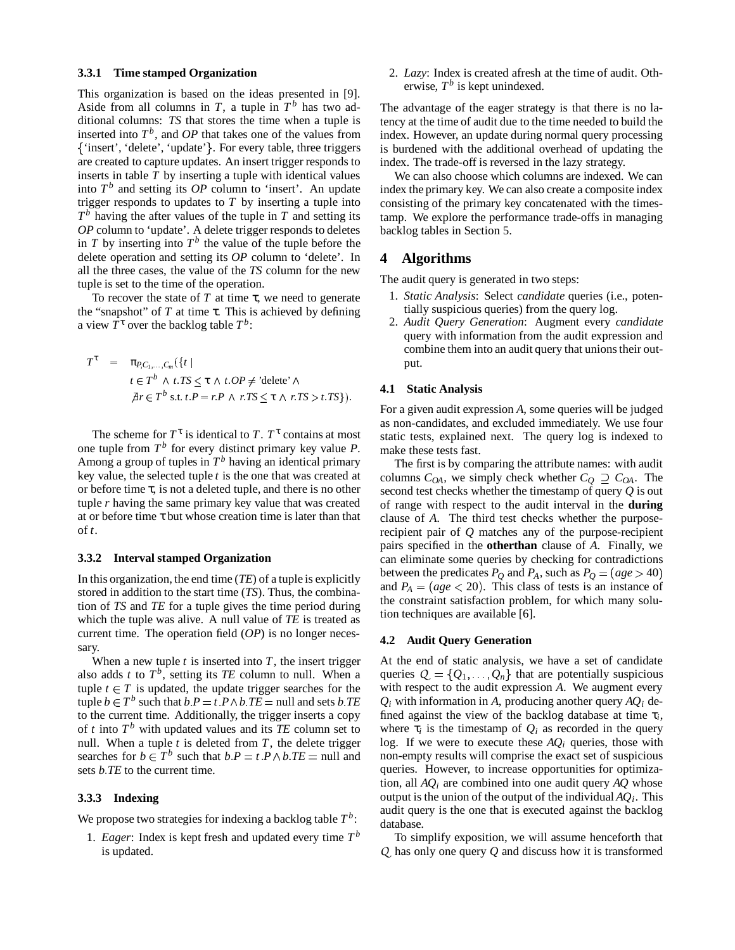## **3.3.1 Time stamped Organization**

This organization is based on the ideas presented in [9]. Aside from all columns in  $T$ , a tuple in  $T^b$  has two additional columns: *TS* that stores the time when a tuple is inserted into  $T^b$ , and  $OP$  that takes one of the values from {'insert', 'delete', 'update'}. For every table, three triggers are created to capture updates. An insert trigger responds to inserts in table *T* by inserting a tuple with identical values into  $T<sup>b</sup>$  and setting its *OP* column to 'insert'. An update trigger responds to updates to *T* by inserting a tuple into  $T<sup>b</sup>$  having the after values of the tuple in *T* and setting its *OP* column to 'update'. A delete trigger responds to deletes in  $T$  by inserting into  $T^b$  the value of the tuple before the delete operation and setting its *OP* column to 'delete'. In all the three cases, the value of the *TS* column for the new tuple is set to the time of the operation.

To recover the state of  $T$  at time  $\tau$ , we need to generate the "snapshot" of *T* at time τ. This is achieved by defining a view  $T^{\tau}$  over the backlog table  $T^b$ :

$$
T^{\tau} = \pi_{P,C_1,...,C_m}(\{t \mid
$$
  
\n $t \in T^b \land t.TS \leq \tau \land t.OP \neq \text{'delete'} \land$   
\n $\exists r \in T^b \text{ s.t. } t.P = r.P \land r.TS \leq \tau \land r.TS > t.TS\}).$ 

The scheme for  $T^{\tau}$  is identical to *T*.  $T^{\tau}$  contains at most one tuple from  $T^b$  for every distinct primary key value  $P$ . Among a group of tuples in *T <sup>b</sup>* having an identical primary key value, the selected tuple *t* is the one that was created at or before time τ, is not a deleted tuple, and there is no other tuple *r* having the same primary key value that was created at or before time  $\tau$  but whose creation time is later than that of *t*.

#### **3.3.2 Interval stamped Organization**

In this organization, the end time (*TE*) of a tuple is explicitly stored in addition to the start time (*TS*). Thus, the combination of *TS* and *TE* for a tuple gives the time period during which the tuple was alive. A null value of *TE* is treated as current time. The operation field (*OP*) is no longer necessary.

When a new tuple  $t$  is inserted into  $T$ , the insert trigger also adds *t* to  $T<sup>b</sup>$ , setting its *TE* column to null. When a tuple  $t \in T$  is updated, the update trigger searches for the tuple  $b \in T^b$  such that  $b \cdot P = t \cdot P \wedge b \cdot TE = \text{null}$  and sets  $b \cdot TE$  to the current time. Additionally, the trigger inserts a copy of  $t$  into  $T^b$  with updated values and its  $TE$  column set to null. When a tuple  $t$  is deleted from  $T$ , the delete trigger searches for  $b \in T^b$  such that  $b.P = t.P \land b.TE = \text{null}$  and no sets *b*. TE to the current time.

#### **3.3.3 Indexing**

We propose two strategies for indexing a backlog table  $T<sup>b</sup>$ :

1. *Eager*: Index is kept fresh and updated every time  $T<sup>b</sup>$ is updated.

2. *Lazy*: Index is created afresh at the time of audit. Otherwise,  $T^b$  is kept unindexed.

The advantage of the eager strategy is that there is no latency at the time of audit due to the time needed to build the index. However, an update during normal query processing is burdened with the additional overhead of updating the index. The trade-off is reversed in the lazy strategy.

We can also choose which columns are indexed. We can index the primary key. We can also create a composite index consisting of the primary key concatenated with the timestamp. We explore the performance trade-offs in managing backlog tables in Section 5.

# **4 Algorithms**

The audit query is generated in two steps:

- 1. *Static Analysis*: Select *candidate* queries (i.e., potentially suspicious queries) from the query log.
- 2. *Audit Query Generation*: Augment every *candidate* query with information from the audit expression and combine them into an audit query that unions their output.

## **4.1 Static Analysis**

For a given audit expression *A*, some queries will be judged as non-candidates, and excluded immediately. We use four static tests, explained next. The query log is indexed to make these tests fast.

The first is by comparing the attribute names: with audit columns  $C_{OA}$ , we simply check whether  $C_Q \supseteq C_{OA}$ . The second test checks whether the timestamp of query *Q* is out of range with respect to the audit interval in the **during** clause of *A*. The third test checks whether the purposerecipient pair of *Q* matches any of the purpose-recipient pairs specified in the **otherthan** clause of *A*. Finally, we can eliminate some queries by checking for contradictions between the predicates  $P_Q$  and  $P_A$ , such as  $P_Q = (age > 40)$ and  $P_A = (age < 20)$ . This class of tests is an instance of the constraint satisfaction problem, for which many solution techniques are available [6].

## **4.2 Audit Query Generation**

At the end of static analysis, we have a set of candidate queries  $Q = \{Q_1, \ldots, Q_n\}$  that are potentially suspicious with respect to the audit expression *A*. We augment every  $Q_i$  with information in *A*, producing another query  $AQ_i$  defined against the view of the backlog database at time  $\tau_i$ , where  $\tau_i$  is the timestamp of  $Q_i$  as recorded in the query log. If we were to execute these  $AQ_i$  queries, those with non-empty results will comprise the exact set of suspicious queries. However, to increase opportunities for optimization, all *AQ<sup>i</sup>* are combined into one audit query *AQ* whose output is the union of the output of the individual *AQ<sup>i</sup>* . This audit query is the one that is executed against the backlog database.

To simplify exposition, we will assume henceforth that *Q* has only one query *Q* and discuss how it is transformed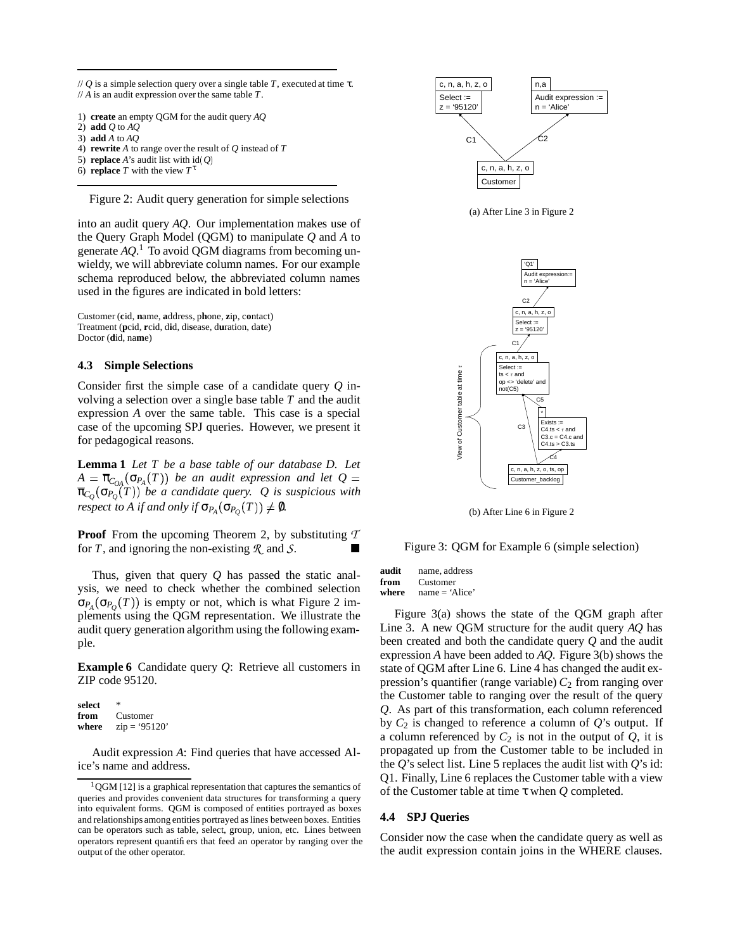// *Q* is a simple selection query over a single table *T*, executed at time τ. // *A* is an audit expression over the same table *T*.

- 1) **create** an empty QGM for the audit query *AQ*
- 2) **add** *Q* to *AQ*
- 3) **add** *A* to *AQ*
- 4) **rewrite** *A* to range over the result of *Q* instead of *T*
- 5) **replace** *A*'s audit list with  $id(Q)$
- 6) **replace** *T* with the view  $T^{\tau}$

Figure 2: Audit query generation for simple selections

into an audit query *AQ*. Our implementation makes use of the Query Graph Model (QGM) to manipulate *Q* and *A* to generate *AQ*. <sup>1</sup> To avoid QGM diagrams from becoming unwieldy, we will abbreviate column names. For our example schema reproduced below, the abbreviated column names used in the figures are indicated in bold letters:

Customer (**c**id, **n**ame, **a**ddress, p**h**one, **z**ip, c**o**ntact) Treatment (**p**cid, **r**cid, d**i**d, di**s**ease, d**u**ration, da**t**e) Doctor (**d**id, na**m**e)

#### **4.3 Simple Selections**

Consider first the simple case of a candidate query *Q* involving a selection over a single base table *T* and the audit expression *A* over the same table. This case is a special case of the upcoming SPJ queries. However, we present it for pedagogical reasons.

**Lemma 1** *Let T be a base table of our database D. Let*  $A = \overline{\pi}_{C_{OA}}(\sigma_{P_A}(T))$  be an audit expression and let Q π*C<sup>Q</sup>* σ*P<sup>Q</sup> T be a candidate query. Q is suspicious with respect to A if* and only if  $\sigma_{P_A}(\sigma_{P_Q}(T)) \neq \emptyset$ .

**Proof** From the upcoming Theorem 2, by substituting *T* for *<sup>T</sup>*, and ignoring the non-existing *<sup>R</sup>* and *<sup>S</sup>*.

Thus, given that query *Q* has passed the static analysis, we need to check whether the combined selection  $\sigma_{P_A}(\sigma_{P_Q}(T))$  is empty or not, which is what Figure 2 implements using the QGM representation. We illustrate the audit query generation algorithm using the following example.

**Example 6** Candidate query *Q*: Retrieve all customers in ZIP code 95120.

**select** \* **from** Customer **where**  $zip = '95120'$ 

Audit expression *A*: Find queries that have accessed Alice's name and address.



(a) After Line 3 in Figure 2



(b) After Line 6 in Figure 2

Figure 3: QGM for Example 6 (simple selection)

**audit** name, address **from** Customer<br>where name =  $\frac{1}{2}$ hame = 'Alice'

Figure 3(a) shows the state of the QGM graph after Line 3. A new QGM structure for the audit query *AQ* has been created and both the candidate query *Q* and the audit expression *A* have been added to *AQ*. Figure 3(b) shows the state of QGM after Line 6. Line 4 has changed the audit expression's quantifier (range variable)  $C_2$  from ranging over the Customer table to ranging over the result of the query *Q*. As part of this transformation, each column referenced by  $C_2$  is changed to reference a column of  $Q$ 's output. If a column referenced by  $C_2$  is not in the output of  $Q$ , it is propagated up from the Customer table to be included in the  $Q$ 's select list. Line 5 replaces the audit list with  $Q$ 's id: Q1. Finally, Line 6 replaces the Customer table with a view of the Customer table at time τ when *Q* completed.

# **4.4 SPJ Queries**

Consider now the case when the candidate query as well as the audit expression contain joins in the WHERE clauses.

 $1$ QGM [12] is a graphical representation that captures the semantics of queries and provides convenient data structures for transforming a query into equivalent forms. QGM is composed of entities portrayed as boxes and relationships among entities portrayed as lines between boxes. Entities can be operators such as table, select, group, union, etc. Lines between operators represent quantifiers that feed an operator by ranging over the output of the other operator.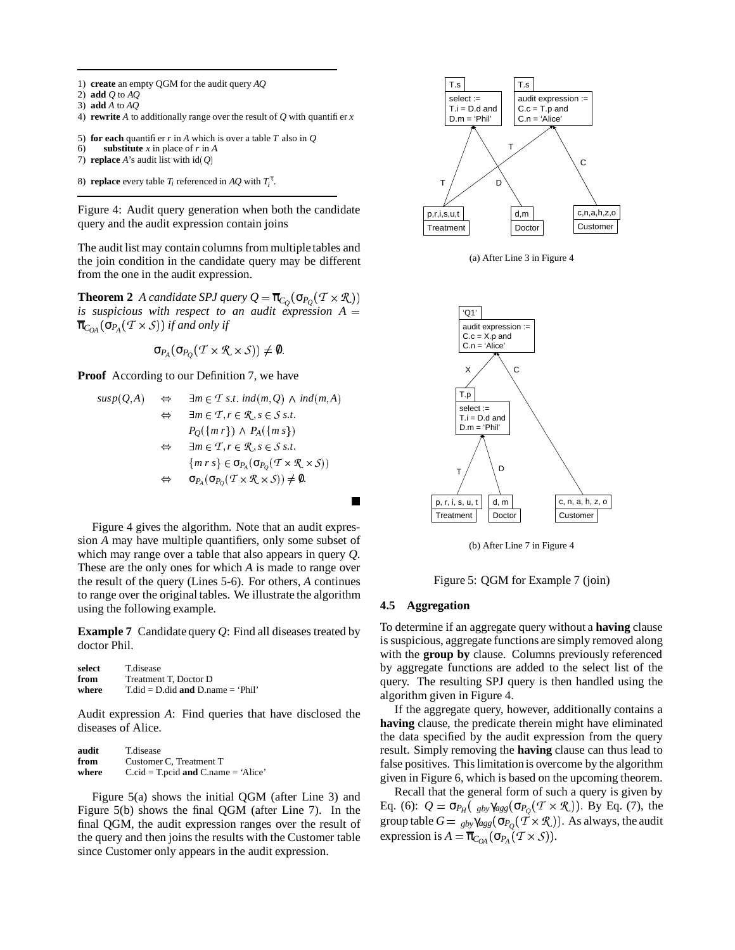- 1) **create** an empty QGM for the audit query *AQ*
- 2) **add** *Q* to *AQ*
- 3) **add** *A* to *AQ*
- 4) **rewrite** *A* to additionally range over the result of  $Q$  with quantifier  $x$
- 5) **for each** quantifier *r* in *A* which is over a table *T* also in *Q*

```
6) substitute x in place of r in A
```
- 7) **replace** *A*'s audit list with  $id(Q)$
- 8) **replace** every table  $T_i$  referenced in  $AQ$  with  $T_i^{\tau}$ .

Figure 4: Audit query generation when both the candidate query and the audit expression contain joins

The audit list may contain columns from multiple tables and the join condition in the candidate query may be different from the one in the audit expression.

**Theorem 2** *A candidate SPJ query*  $Q = \overline{\pi}_{C_Q}(\sigma_{P_Q}(T \times \mathcal{R}))$ *is suspicious* with *respect to an audit expression*  $A =$  $\overline{\pi}_{C_{OA}}(\sigma_{P_{A}}(T \times S))$  if and only if

$$
\sigma_{P_A}(\sigma_{P_Q}(T \times \mathcal{R} \times \mathcal{S})) \neq \emptyset.
$$

**Proof** According to our Definition 7, we have

$$
susp(Q, A) \Leftrightarrow \exists m \in \mathcal{T} \ s.t. \ ind(m, Q) \land ind(m, A)
$$
  

$$
\Leftrightarrow \exists m \in \mathcal{T}, r \in \mathcal{R}, s \in S \ s.t.
$$
  

$$
P_Q(\{m \ r\}) \land P_A(\{m \ s\})
$$
  

$$
\Leftrightarrow \exists m \in \mathcal{T}, r \in \mathcal{R}, s \in S \ s.t.
$$
  

$$
\{m \ r \ s\} \in \sigma_{P_A}(\sigma_{P_Q}(\mathcal{T} \times \mathcal{R} \times S))
$$
  

$$
\Leftrightarrow \sigma_{P_A}(\sigma_{P_Q}(\mathcal{T} \times \mathcal{R} \times S)) \neq 0.
$$

Figure 4 gives the algorithm. Note that an audit expression *A* may have multiple quantifiers, only some subset of which may range over a table that also appears in query *Q*. These are the only ones for which *A* is made to range over the result of the query (Lines 5-6). For others, *A* continues to range over the original tables. We illustrate the algorithm using the following example.

**Example 7** Candidate query *Q*: Find all diseases treated by doctor Phil.

| select | <b>T</b> .disease                           |
|--------|---------------------------------------------|
| from   | Treatment T. Doctor D                       |
| where  | $T$ .did = D.did <b>and</b> D.name = 'Phil' |

Audit expression *A*: Find queries that have disclosed the diseases of Alice.

| audit | <b>T</b> .disease                         |
|-------|-------------------------------------------|
| from  | Customer C, Treatment T                   |
| where | $C$ .cid = T.pcid and $C$ .name = 'Alice' |

Figure 5(a) shows the initial QGM (after Line 3) and Figure 5(b) shows the final QGM (after Line 7). In the final QGM, the audit expression ranges over the result of the query and then joins the results with the Customer table since Customer only appears in the audit expression.



(a) After Line 3 in Figure 4



(b) After Line 7 in Figure 4

Figure 5: QGM for Example 7 (join)

#### **4.5 Aggregation**

To determine if an aggregate query without a **having** clause is suspicious, aggregate functions are simply removed along with the **group by** clause. Columns previously referenced by aggregate functions are added to the select list of the query. The resulting SPJ query is then handled using the algorithm given in Figure 4.

If the aggregate query, however, additionally contains a **having** clause, the predicate therein might have eliminated the data specified by the audit expression from the query result. Simply removing the **having** clause can thus lead to false positives. This limitationis overcome by the algorithm given in Figure 6, which is based on the upcoming theorem.

Recall that the general form of such a query is given by Eq. (6):  $Q = \sigma_{P_H}(\psi_{\text{gby}}\gamma_{\text{agg}}(\sigma_{P_Q}(T \times \mathcal{R}))$ . By Eq. (7), the group table  $G = \frac{1}{gby}\gamma_{agg}(\sigma_{P_Q}(\vec{\mathcal{T}}\times\mathcal{R}))$ . As always, the audit  $\exp$  ression is  $A = \overline{\pi}_{C_{OA}}(\sigma_{P_{A}}(T \times S)).$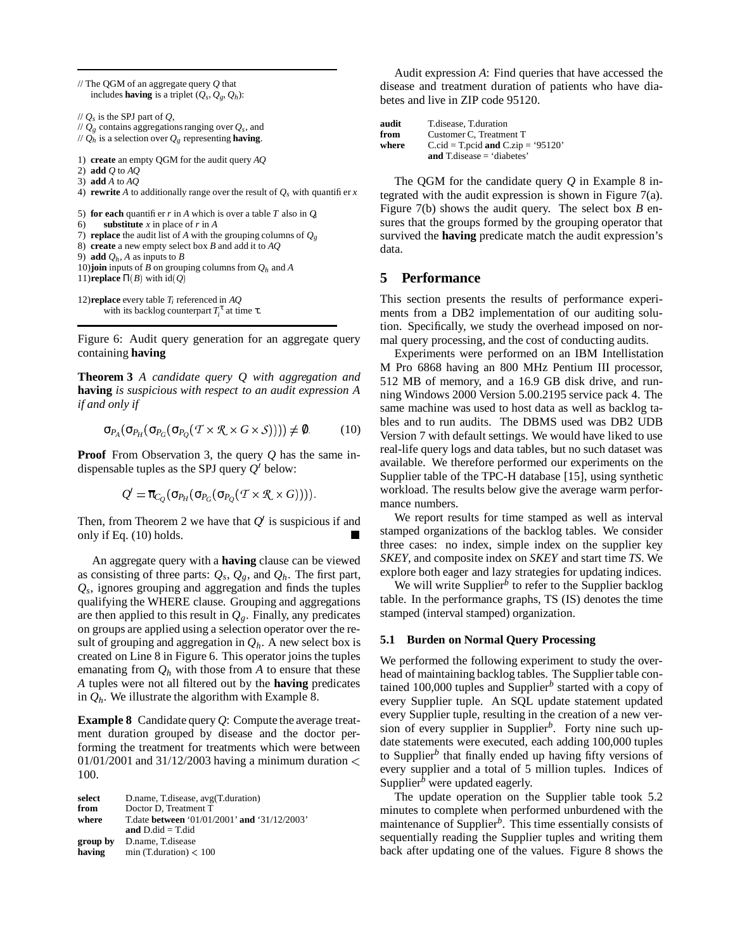// The QGM of an aggregate query *Q* that includes **having** is a triplet  $(Q_s, Q_g, Q_h)$ : // *Q<sup>s</sup>* is the SPJ part of *Q*,  $\pi$  //  $Q_g$  contains aggregations ranging over  $Q_s$ , and // *Q<sup>h</sup>* is a selection over *Q<sup>g</sup>* representing **having**. 1) **create** an empty QGM for the audit query *AQ* 2) **add** *Q* to *AQ* 3) **add** *A* to *AQ* 4) **rewrite** *A* to additionally range over the result of  $Q_s$  with quantifier *x* 5) **for each** quantifier  $r$  in  $A$  which is over a table  $T$  also in  $Q$ 6) **substitute** *x* in place of *r* in *A* 7) **replace** the audit list of *A* with the grouping columns of  $Q_g$ 8) **create** a new empty select box *B* and add it to *AQ* 9) **add**  $Q_h$ , *A* as inputs to *B* 10)**join** inputs of *B* on grouping columns from *Q<sup>h</sup>* and *A* 11)**replace**  $\Pi(B)$  with  $\text{id}(Q)$ 12)**replace** every table *T<sup>i</sup>* referenced in *AQ* with its backlog counterpart  $T_i^{\tau}$  at time  $\tau$ .

Figure 6: Audit query generation for an aggregate query containing **having**

**Theorem 3** *A candidate query Q with aggregation and* **having** *is suspicious with respect to an audit expression A if and only if*

$$
\sigma_{P_A}(\sigma_{P_H}(\sigma_{P_G}(\sigma_{P_Q}(T \times \mathcal{R} \times G \times S)))) \neq \emptyset. \tag{10}
$$

**Proof** From Observation 3, the query *Q* has the same indispensable tuples as the SPJ query  $Q'$  below:

$$
Q' = \overline{\pi}_{C_Q}(\sigma_{P_H}(\sigma_{P_G}(\sigma_{P_Q}(T \times \mathcal{R} \times G))))
$$

Then, from Theorem 2 we have that  $Q'$  is suspicious if and we rep<br>only if Eq. (10) holds.

An aggregate query with a **having** clause can be viewed as consisting of three parts:  $Q_s$ ,  $Q_g$ , and  $Q_h$ . The first part, *Qs* , ignores grouping and aggregation and finds the tuples qualifying the WHERE clause. Grouping and aggregations are then applied to this result in  $Q_g$ . Finally, any predicates on groups are applied using a selection operator over the result of grouping and aggregation in  $Q_h$ . A new select box is created on Line 8 in Figure 6. This operator joins the tuples emanating from  $Q_h$  with those from A to ensure that these *A* tuples were not all filtered out by the **having** predicates in  $Q_h$ . We illustrate the algorithm with Example 8.

**Example 8** Candidate query *Q*: Compute the average treatment duration grouped by disease and the doctor performing the treatment for treatments which were between 01/01/2001 and 31/12/2003 having a minimum duration  $\lt$ 100.

| select   | D.name, T.disease, avg(T.duration)           |
|----------|----------------------------------------------|
| from     | Doctor D. Treatment T                        |
| where    | T.date between '01/01/2001' and '31/12/2003' |
|          | and $D$ did = T did                          |
| group by | D.name, T.disease                            |
| having   | min (T.duration) $< 100$                     |

Audit expression *A*: Find queries that have accessed the disease and treatment duration of patients who have diabetes and live in ZIP code 95120.

| audit | T.disease, T.duration              |
|-------|------------------------------------|
| from  | Customer C, Treatment T            |
| where | C.cid = T.pcid and C.zip = '95120' |
|       | and T.disease $=$ 'diabetes'       |

The QGM for the candidate query *Q* in Example 8 integrated with the audit expression is shown in Figure 7(a). Figure 7(b) shows the audit query. The select box *B* ensures that the groups formed by the grouping operator that survived the **having** predicate match the audit expression's data.

## **5 Performance**

This section presents the results of performance experiments from a DB2 implementation of our auditing solution. Specifically, we study the overhead imposed on normal query processing, and the cost of conducting audits.

Experiments were performed on an IBM Intellistation M Pro 6868 having an 800 MHz Pentium III processor, 512 MB of memory, and a 16.9 GB disk drive, and running Windows 2000 Version 5.00.2195 service pack 4. The same machine was used to host data as well as backlog tables and to run audits. The DBMS used was DB2 UDB Version 7 with default settings. We would have liked to use real-life query logs and data tables, but no such dataset was available. We therefore performed our experiments on the Supplier table of the TPC-H database [15], using synthetic workload. The results below give the average warm performance numbers.

We report results for time stamped as well as interval stamped organizations of the backlog tables. We consider three cases: no index, simple index on the supplier key *SKEY*, and composite index on *SKEY* and start time *TS*. We explore both eager and lazy strategies for updating indices.

We will write Supplier<sup> $b$ </sup> to refer to the Supplier backlog table. In the performance graphs, TS (IS) denotes the time stamped (interval stamped) organization.

## **5.1 Burden on Normal Query Processing**

We performed the following experiment to study the overhead of maintaining backlog tables. The Supplier table contained 100,000 tuples and Supplier*<sup>b</sup>* started with a copy of every Supplier tuple. An SQL update statement updated every Supplier tuple, resulting in the creation of a new version of every supplier in Supplier*<sup>b</sup>* . Forty nine such update statements were executed, each adding 100,000 tuples to Supplier<sup>b</sup> that finally ended up having fifty versions of every supplier and a total of 5 million tuples. Indices of Supplier<sup>b</sup> were updated eagerly.

The update operation on the Supplier table took 5.2 minutes to complete when performed unburdened with the maintenance of Supplier*<sup>b</sup>* . This time essentially consists of sequentially reading the Supplier tuples and writing them back after updating one of the values. Figure 8 shows the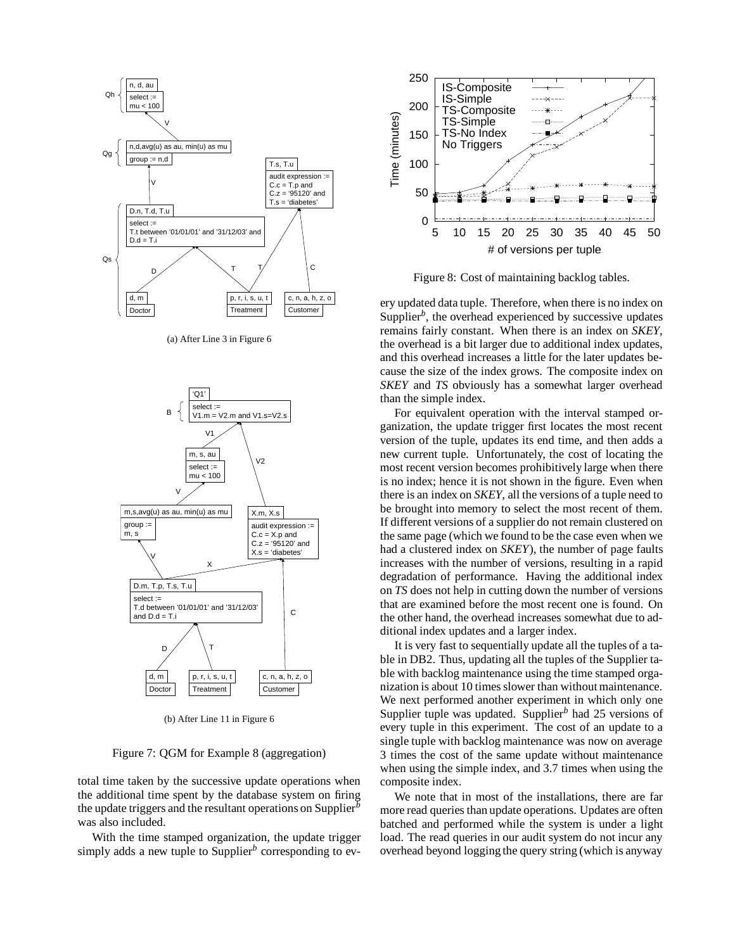

(a) After Line 3 in Figure 6



(b) After Line 11 in Figure 6

Figure 7: QGM for Example 8 (aggregation)

total time taken by the successive update operations when the additional time spent by the database system on firing the update triggers and the resultant operations on Supplier*<sup>b</sup>* was also included.

With the time stamped organization, the update trigger simply adds a new tuple to Supplier*<sup>b</sup>* corresponding to ev-



Figure 8: Cost of maintaining backlog tables.

ery updated data tuple. Therefore, when there is no index on Supplier<sup>b</sup>, the overhead experienced by successive updates remains fairly constant. When there is an index on *SKEY*, the overhead is a bit larger due to additional index updates, and this overhead increases a little for the later updates because the size of the index grows. The composite index on *SKEY* and *TS* obviously has a somewhat larger overhead than the simple index.

For equivalent operation with the interval stamped organization, the update trigger first locates the most recent version of the tuple, updates its end time, and then adds a new current tuple. Unfortunately, the cost of locating the most recent version becomes prohibitively large when there is no index; hence it is not shown in the figure. Even when there is an index on *SKEY*, all the versions of a tuple need to be brought into memory to select the most recent of them. If different versions of a supplier do not remain clustered on the same page (which we found to be the case even when we had a clustered index on *SKEY*), the number of page faults increases with the number of versions, resulting in a rapid degradation of performance. Having the additional index on *TS* does not help in cutting down the number of versions that are examined before the most recent one is found. On the other hand, the overhead increases somewhat due to additional index updates and a larger index.

It is very fast to sequentially update all the tuples of a table in DB2. Thus, updating all the tuples of the Supplier table with backlog maintenance using the time stamped organization is about 10 times slower than without maintenance. We next performed another experiment in which only one Supplier tuple was updated. Supplier*<sup>b</sup>* had 25 versions of every tuple in this experiment. The cost of an update to a single tuple with backlog maintenance was now on average 3 times the cost of the same update without maintenance when using the simple index, and 3.7 times when using the composite index.

We note that in most of the installations, there are far more read queries than update operations. Updates are often batched and performed while the system is under a light load. The read queries in our audit system do not incur any overhead beyond logging the query string (which is anyway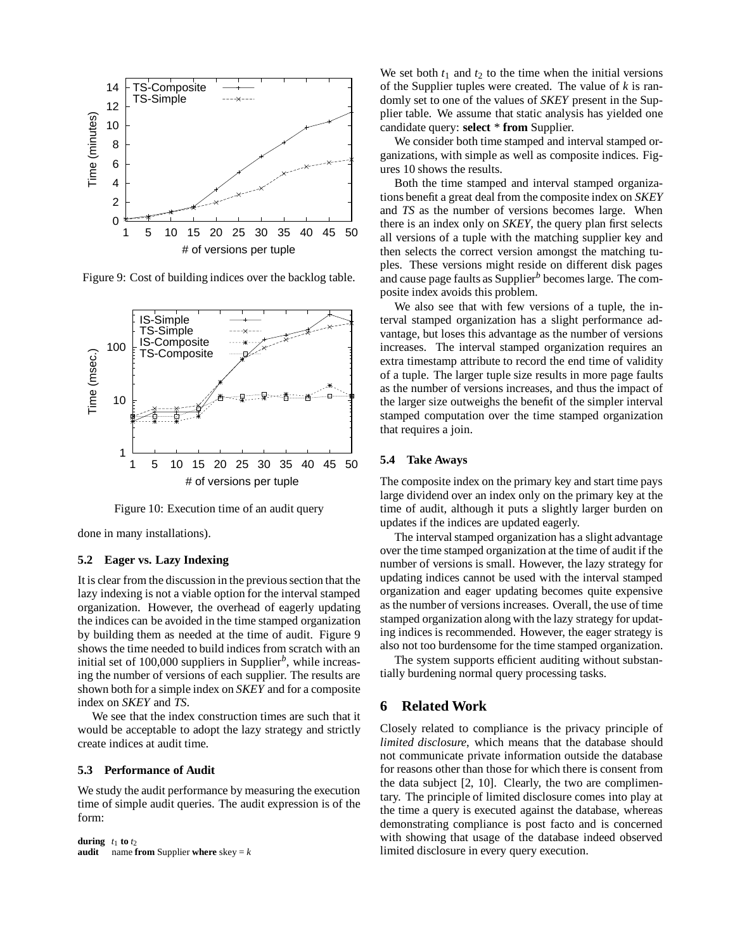

Figure 9: Cost of building indices over the backlog table.



Figure 10: Execution time of an audit query

done in many installations).

#### **5.2 Eager vs. Lazy Indexing**

It is clear from the discussion in the previous section that the lazy indexing is not a viable option for the interval stamped organization. However, the overhead of eagerly updating the indices can be avoided in the time stamped organization by building them as needed at the time of audit. Figure 9 shows the time needed to build indices from scratch with an initial set of 100,000 suppliers in Supplier<sup>b</sup>, while increasing the number of versions of each supplier. The results are shown both for a simple index on *SKEY* and for a composite index on *SKEY* and *TS*.

We see that the index construction times are such that it would be acceptable to adopt the lazy strategy and strictly create indices at audit time.

# **5.3 Performance of Audit**

We study the audit performance by measuring the execution time of simple audit queries. The audit expression is of the form:

```
during t_1 to t_2audit name from Supplier where skey = k
```
We set both  $t_1$  and  $t_2$  to the time when the initial versions of the Supplier tuples were created. The value of *k* is randomly set to one of the values of *SKEY* present in the Supplier table. We assume that static analysis has yielded one candidate query: **select** \* **from** Supplier.

We consider both time stamped and interval stamped organizations, with simple as well as composite indices. Figures 10 shows the results.

Both the time stamped and interval stamped organizations benefit a great deal from the composite index on *SKEY* and *TS* as the number of versions becomes large. When there is an index only on *SKEY*, the query plan first selects all versions of a tuple with the matching supplier key and then selects the correct version amongst the matching tuples. These versions might reside on different disk pages and cause page faults as Supplier*<sup>b</sup>* becomes large. The composite index avoids this problem.

We also see that with few versions of a tuple, the interval stamped organization has a slight performance advantage, but loses this advantage as the number of versions increases. The interval stamped organization requires an extra timestamp attribute to record the end time of validity of a tuple. The larger tuple size results in more page faults as the number of versions increases, and thus the impact of the larger size outweighs the benefit of the simpler interval stamped computation over the time stamped organization that requires a join.

## **5.4 Take Aways**

The composite index on the primary key and start time pays large dividend over an index only on the primary key at the time of audit, although it puts a slightly larger burden on updates if the indices are updated eagerly.

The interval stamped organization has a slight advantage over the time stamped organization at the time of audit if the number of versions is small. However, the lazy strategy for updating indices cannot be used with the interval stamped organization and eager updating becomes quite expensive as the number of versions increases. Overall, the use of time stamped organization along with the lazy strategy for updating indices is recommended. However, the eager strategy is also not too burdensome for the time stamped organization.

The system supports efficient auditing without substantially burdening normal query processing tasks.

# **6 Related Work**

Closely related to compliance is the privacy principle of *limited disclosure*, which means that the database should not communicate private information outside the database for reasons other than those for which there is consent from the data subject [2, 10]. Clearly, the two are complimentary. The principle of limited disclosure comes into play at the time a query is executed against the database, whereas demonstrating compliance is post facto and is concerned with showing that usage of the database indeed observed limited disclosure in every query execution.